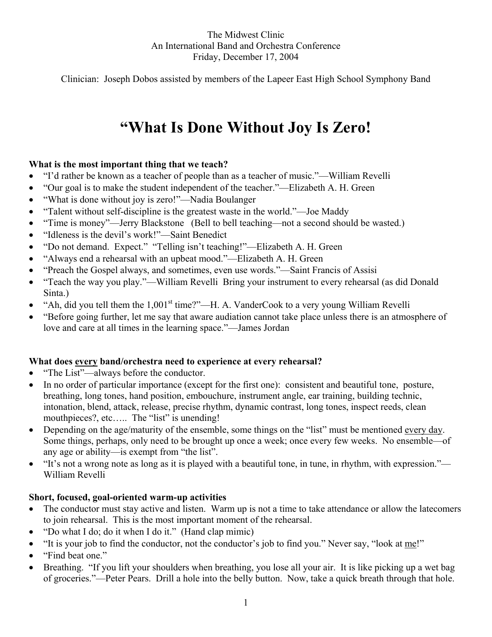### The Midwest Clinic An International Band and Orchestra Conference Friday, December 17, 2004

Clinician: Joseph Dobos assisted by members of the Lapeer East High School Symphony Band

# **"What Is Done Without Joy Is Zero!**

#### **What is the most important thing that we teach?**

- "I'd rather be known as a teacher of people than as a teacher of music."—William Revelli
- "Our goal is to make the student independent of the teacher."—Elizabeth A. H. Green
- "What is done without joy is zero!"—Nadia Boulanger
- "Talent without self-discipline is the greatest waste in the world."—Joe Maddy
- "Time is money"—Jerry Blackstone (Bell to bell teaching—not a second should be wasted.)
- "Idleness is the devil's work!"—Saint Benedict
- "Do not demand. Expect." "Telling isn't teaching!"—Elizabeth A. H. Green
- "Always end a rehearsal with an upbeat mood."—Elizabeth A. H. Green
- "Preach the Gospel always, and sometimes, even use words."—Saint Francis of Assisi
- "Teach the way you play."—William Revelli Bring your instrument to every rehearsal (as did Donald Sinta.)
- "Ah, did you tell them the  $1,001<sup>st</sup>$  time?"—H. A. VanderCook to a very young William Revelli
- "Before going further, let me say that aware audiation cannot take place unless there is an atmosphere of love and care at all times in the learning space."—James Jordan

#### **What does every band/orchestra need to experience at every rehearsal?**

- "The List"—always before the conductor.
- In no order of particular importance (except for the first one): consistent and beautiful tone, posture, breathing, long tones, hand position, embouchure, instrument angle, ear training, building technic, intonation, blend, attack, release, precise rhythm, dynamic contrast, long tones, inspect reeds, clean mouthpieces?, etc..... The "list" is unending!
- Depending on the age/maturity of the ensemble, some things on the "list" must be mentioned every day. Some things, perhaps, only need to be brought up once a week; once every few weeks. No ensemble—of any age or ability—is exempt from "the list".
- "It's not a wrong note as long as it is played with a beautiful tone, in tune, in rhythm, with expression."— William Revelli

#### **Short, focused, goal-oriented warm-up activities**

- The conductor must stay active and listen. Warm up is not a time to take attendance or allow the latecomers to join rehearsal. This is the most important moment of the rehearsal.
- "Do what I do; do it when I do it." (Hand clap mimic)
- "It is your job to find the conductor, not the conductor's job to find you." Never say, "look at me!"
- "Find beat one."
- Breathing. "If you lift your shoulders when breathing, you lose all your air. It is like picking up a wet bag of groceries."—Peter Pears. Drill a hole into the belly button. Now, take a quick breath through that hole.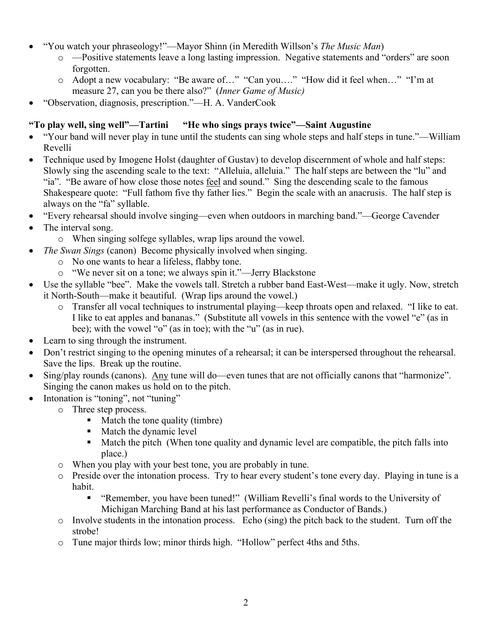- "You watch your phraseology!"—Mayor Shinn (in Meredith Willson's *The Music Man*)
	- o —Positive statements leave a long lasting impression. Negative statements and "orders" are soon forgotten.
	- o Adopt a new vocabulary: "Be aware of…" "Can you…." "How did it feel when…" "I'm at measure 27, can you be there also?" (*Inner Game of Music)*
- "Observation, diagnosis, prescription."—H. A. VanderCook

# **"To play well, sing well"—Tartini "He who sings prays twice"—Saint Augustine**

- "Your band will never play in tune until the students can sing whole steps and half steps in tune."—William Revelli
- Technique used by Imogene Holst (daughter of Gustav) to develop discernment of whole and half steps: Slowly sing the ascending scale to the text: "Alleluia, alleluia." The half steps are between the "lu" and "ia". "Be aware of how close those notes feel and sound." Sing the descending scale to the famous Shakespeare quote: "Full fathom five thy father lies." Begin the scale with an anacrusis. The half step is always on the "fa" syllable.
- "Every rehearsal should involve singing—even when outdoors in marching band."—George Cavender
- The interval song.
	- o When singing solfege syllables, wrap lips around the vowel.
- *The Swan Sings* (canon) Become physically involved when singing.
	- o No one wants to hear a lifeless, flabby tone.
	- o "We never sit on a tone; we always spin it."—Jerry Blackstone
- Use the syllable "bee". Make the vowels tall. Stretch a rubber band East-West—make it ugly. Now, stretch it North-South—make it beautiful. (Wrap lips around the vowel.)
	- o Transfer all vocal techniques to instrumental playing—keep throats open and relaxed. "I like to eat. I like to eat apples and bananas." (Substitute all vowels in this sentence with the vowel "e" (as in bee); with the vowel "o" (as in toe); with the "u" (as in rue).
- Learn to sing through the instrument.
- Don't restrict singing to the opening minutes of a rehearsal; it can be interspersed throughout the rehearsal. Save the lips. Break up the routine.
- Sing/play rounds (canons). Any tune will do—even tunes that are not officially canons that "harmonize". Singing the canon makes us hold on to the pitch.
- Intonation is "toning", not "tuning"
	- o Three step process.
		- $\blacksquare$  Match the tone quality (timbre)
		- Match the dynamic level
		- Match the pitch (When tone quality and dynamic level are compatible, the pitch falls into place.)
	- o When you play with your best tone, you are probably in tune.
	- o Preside over the intonation process. Try to hear every student's tone every day. Playing in tune is a habit.
		- "Remember, you have been tuned!" (William Revelli's final words to the University of Michigan Marching Band at his last performance as Conductor of Bands.)
	- o Involve students in the intonation process. Echo (sing) the pitch back to the student. Turn off the strobe!
	- o Tune major thirds low; minor thirds high. "Hollow" perfect 4ths and 5ths.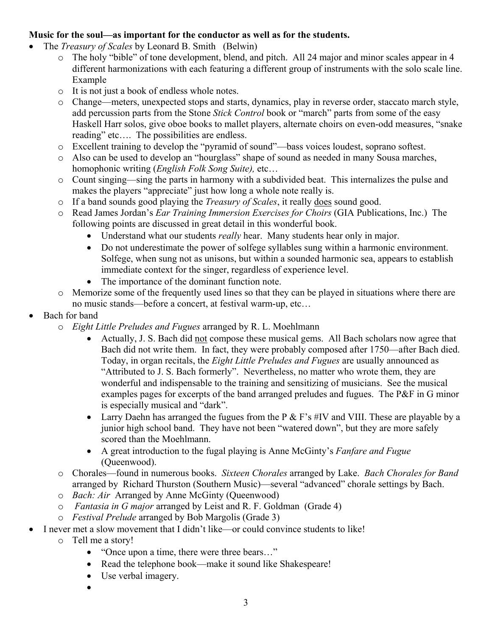## **Music for the soul—as important for the conductor as well as for the students.**

- The *Treasury of Scales* by Leonard B. Smith (Belwin)
	- o The holy "bible" of tone development, blend, and pitch. All 24 major and minor scales appear in 4 different harmonizations with each featuring a different group of instruments with the solo scale line. Example
	- o It is not just a book of endless whole notes.
	- o Change—meters, unexpected stops and starts, dynamics, play in reverse order, staccato march style, add percussion parts from the Stone *Stick Control* book or "march" parts from some of the easy Haskell Harr solos, give oboe books to mallet players, alternate choirs on even-odd measures, "snake reading" etc…. The possibilities are endless.
	- o Excellent training to develop the "pyramid of sound"—bass voices loudest, soprano softest.
	- o Also can be used to develop an "hourglass" shape of sound as needed in many Sousa marches, homophonic writing (*English Folk Song Suite),* etc…
	- o Count singing—sing the parts in harmony with a subdivided beat. This internalizes the pulse and makes the players "appreciate" just how long a whole note really is.
	- o If a band sounds good playing the *Treasury of Scales*, it really does sound good.
	- o Read James Jordan's *Ear Training Immersion Exercises for Choirs* (GIA Publications, Inc.) The following points are discussed in great detail in this wonderful book.
		- Understand what our students *really* hear. Many students hear only in major.
		- Do not underestimate the power of solfege syllables sung within a harmonic environment. Solfege, when sung not as unisons, but within a sounded harmonic sea, appears to establish immediate context for the singer, regardless of experience level.
		- The importance of the dominant function note.
	- o Memorize some of the frequently used lines so that they can be played in situations where there are no music stands—before a concert, at festival warm-up, etc…
- Bach for band
	- o *Eight Little Preludes and Fugues* arranged by R. L. Moehlmann
		- Actually, J. S. Bach did not compose these musical gems. All Bach scholars now agree that Bach did not write them. In fact, they were probably composed after 1750—after Bach died. Today, in organ recitals, the *Eight Little Preludes and Fugues* are usually announced as "Attributed to J. S. Bach formerly". Nevertheless, no matter who wrote them, they are wonderful and indispensable to the training and sensitizing of musicians. See the musical examples pages for excerpts of the band arranged preludes and fugues. The P&F in G minor is especially musical and "dark".
		- Larry Daehn has arranged the fugues from the  $P \& F$ 's #IV and VIII. These are playable by a junior high school band. They have not been "watered down", but they are more safely scored than the Moehlmann.
		- A great introduction to the fugal playing is Anne McGinty's *Fanfare and Fugue* (Queenwood).
	- o Chorales—found in numerous books. *Sixteen Chorales* arranged by Lake. *Bach Chorales for Band*  arranged by Richard Thurston (Southern Music)—several "advanced" chorale settings by Bach.
	- o *Bach: Air* Arranged by Anne McGinty (Queenwood)
	- o *Fantasia in G major* arranged by Leist and R. F. Goldman (Grade 4)
	- o *Festival Prelude* arranged by Bob Margolis (Grade 3)
- I never met a slow movement that I didn't like—or could convince students to like!
	- o Tell me a story!
		- "Once upon a time, there were three bears..."
		- Read the telephone book—make it sound like Shakespeare!
		- Use verbal imagery.
		- •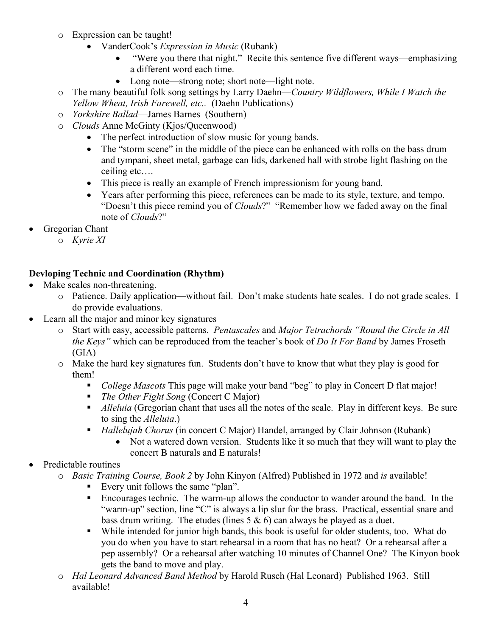- o Expression can be taught!
	- VanderCook's *Expression in Music* (Rubank)
		- "Were you there that night." Recite this sentence five different ways—emphasizing a different word each time.
		- Long note—strong note; short note—light note.
- o The many beautiful folk song settings by Larry Daehn—*Country Wildflowers, While I Watch the Yellow Wheat, Irish Farewell, etc..* (Daehn Publications)
- o *Yorkshire Ballad*—James Barnes (Southern)
- o *Clouds* Anne McGinty (Kjos/Queenwood)
	- The perfect introduction of slow music for young bands.
	- The "storm scene" in the middle of the piece can be enhanced with rolls on the bass drum and tympani, sheet metal, garbage can lids, darkened hall with strobe light flashing on the ceiling etc….
	- This piece is really an example of French impressionism for young band.
	- Years after performing this piece, references can be made to its style, texture, and tempo. "Doesn't this piece remind you of *Clouds*?" "Remember how we faded away on the final note of *Clouds*?"
- Gregorian Chant
	- o *Kyrie XI*

# **Devloping Technic and Coordination (Rhythm)**

- Make scales non-threatening.
	- o Patience. Daily application—without fail. Don't make students hate scales. I do not grade scales. I do provide evaluations.
- Learn all the major and minor key signatures
	- o Start with easy, accessible patterns. *Pentascales* and *Major Tetrachords "Round the Circle in All the Keys"* which can be reproduced from the teacher's book of *Do It For Band* by James Froseth (GIA)
	- o Make the hard key signatures fun. Students don't have to know that what they play is good for them!
		- *College Mascots* This page will make your band "beg" to play in Concert D flat major!
		- *The Other Fight Song* (Concert C Major)
		- *Alleluia* (Gregorian chant that uses all the notes of the scale. Play in different keys. Be sure to sing the *Alleluia*.)
		- *Hallelujah Chorus* (in concert C Major) Handel, arranged by Clair Johnson (Rubank)
			- Not a watered down version. Students like it so much that they will want to play the concert B naturals and E naturals!
- Predictable routines
	- o *Basic Training Course, Book 2* by John Kinyon (Alfred) Published in 1972 and *is* available!
		- Every unit follows the same "plan".
		- Encourages technic. The warm-up allows the conductor to wander around the band. In the "warm-up" section, line "C" is always a lip slur for the brass. Practical, essential snare and bass drum writing. The etudes (lines  $5 \& 6$ ) can always be played as a duet.
		- While intended for junior high bands, this book is useful for older students, too. What do you do when you have to start rehearsal in a room that has no heat? Or a rehearsal after a pep assembly? Or a rehearsal after watching 10 minutes of Channel One? The Kinyon book gets the band to move and play.
	- o *Hal Leonard Advanced Band Method* by Harold Rusch (Hal Leonard) Published 1963. Still available!